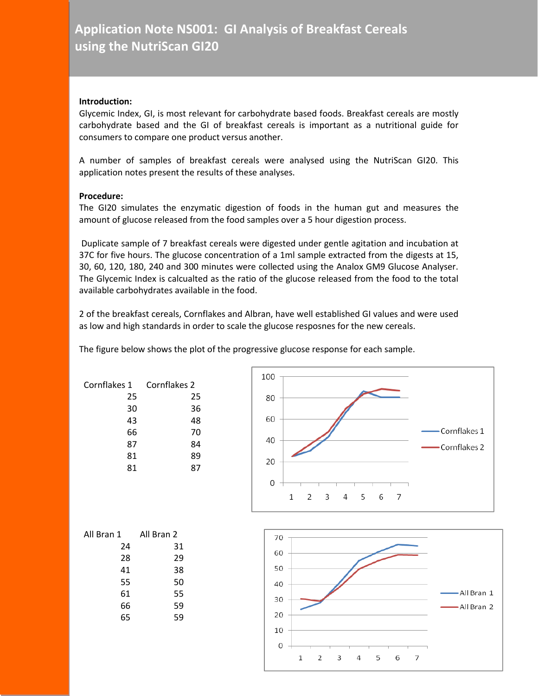## **Introduction:**

Glycemic Index, GI, is most relevant for carbohydrate based foods. Breakfast cereals are mostly carbohydrate based and the GI of breakfast cereals is important as a nutritional guide for consumers to compare one product versus another.

A number of samples of breakfast cereals were analysed using the NutriScan GI20. This application notes present the results of these analyses.

## **Procedure:**

The GI20 simulates the enzymatic digestion of foods in the human gut and measures the amount of glucose released from the food samples over a 5 hour digestion process.

Duplicate sample of 7 breakfast cereals were digested under gentle agitation and incubation at 37C for five hours. The glucose concentration of a 1ml sample extracted from the digests at 15, 30, 60, 120, 180, 240 and 300 minutes were collected using the Analox GM9 Glucose Analyser. The Glycemic Index is calcualted as the ratio of the glucose released from the food to the total available carbohydrates available in the food.

2 of the breakfast cereals, Cornflakes and Albran, have well established GI values and were used as low and high standards in order to scale the glucose resposnes for the new cereals.

The figure below shows the plot of the progressive glucose response for each sample.

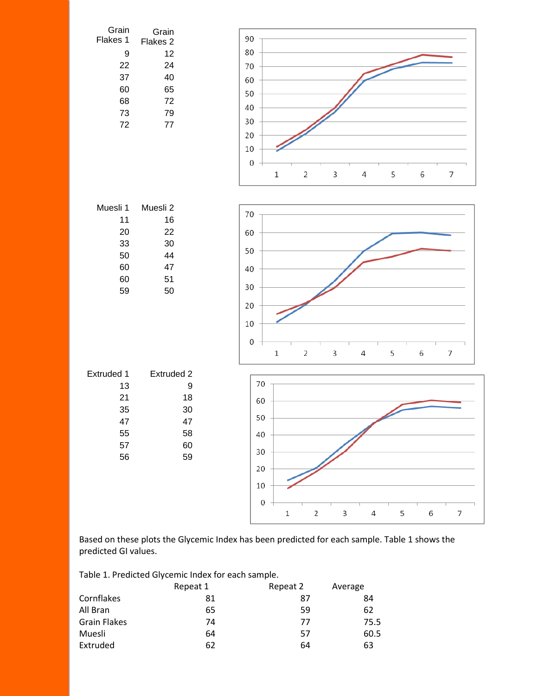

Based on these plots the Glycemic Index has been predicted for each sample. Table 1 shows the predicted GI values.

Table 1. Predicted Glycemic Index for each sample.

|                     | Repeat 1 | Repeat 2 | Average |
|---------------------|----------|----------|---------|
| Cornflakes          | 81       | 87       | 84      |
| All Bran            | 65       | 59       | 62      |
| <b>Grain Flakes</b> | 74       | 77       | 75.5    |
| Muesli              | 64       | 57       | 60.5    |
| Extruded            | 62       | 64       | 63      |